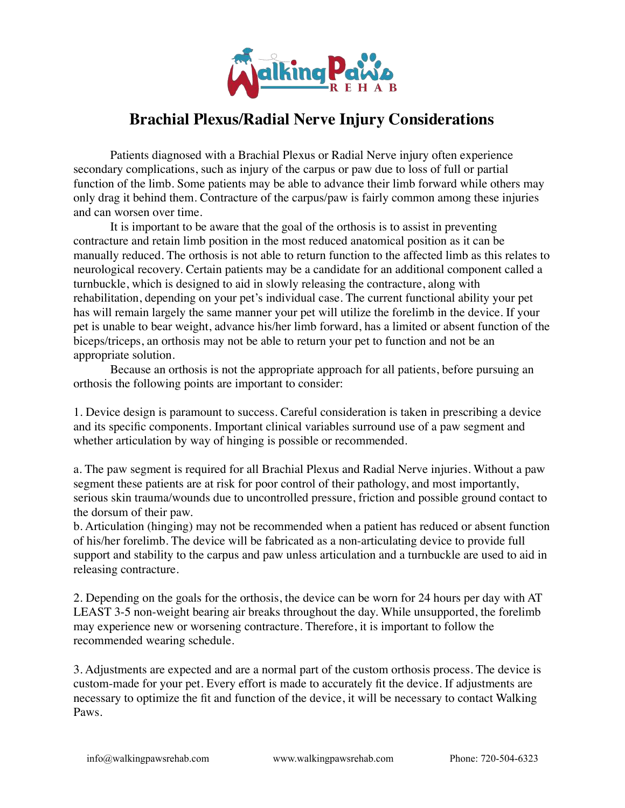

## **Brachial Plexus/Radial Nerve Injury Considerations**

Patients diagnosed with a Brachial Plexus or Radial Nerve injury often experience secondary complications, such as injury of the carpus or paw due to loss of full or partial function of the limb. Some patients may be able to advance their limb forward while others may only drag it behind them. Contracture of the carpus/paw is fairly common among these injuries and can worsen over time.

It is important to be aware that the goal of the orthosis is to assist in preventing contracture and retain limb position in the most reduced anatomical position as it can be manually reduced. The orthosis is not able to return function to the affected limb as this relates to neurological recovery. Certain patients may be a candidate for an additional component called a turnbuckle, which is designed to aid in slowly releasing the contracture, along with rehabilitation, depending on your pet's individual case. The current functional ability your pet has will remain largely the same manner your pet will utilize the forelimb in the device. If your pet is unable to bear weight, advance his/her limb forward, has a limited or absent function of the biceps/triceps, an orthosis may not be able to return your pet to function and not be an appropriate solution.

Because an orthosis is not the appropriate approach for all patients, before pursuing an orthosis the following points are important to consider:

1. Device design is paramount to success. Careful consideration is taken in prescribing a device and its specific components. Important clinical variables surround use of a paw segment and whether articulation by way of hinging is possible or recommended.

a. The paw segment is required for all Brachial Plexus and Radial Nerve injuries. Without a paw segment these patients are at risk for poor control of their pathology, and most importantly, serious skin trauma/wounds due to uncontrolled pressure, friction and possible ground contact to the dorsum of their paw.

b. Articulation (hinging) may not be recommended when a patient has reduced or absent function of his/her forelimb. The device will be fabricated as a non-articulating device to provide full support and stability to the carpus and paw unless articulation and a turnbuckle are used to aid in releasing contracture.

2. Depending on the goals for the orthosis, the device can be worn for 24 hours per day with AT LEAST 3-5 non-weight bearing air breaks throughout the day. While unsupported, the forelimb may experience new or worsening contracture. Therefore, it is important to follow the recommended wearing schedule.

3. Adjustments are expected and are a normal part of the custom orthosis process. The device is custom-made for your pet. Every effort is made to accurately fit the device. If adjustments are necessary to optimize the fit and function of the device, it will be necessary to contact Walking Paws.